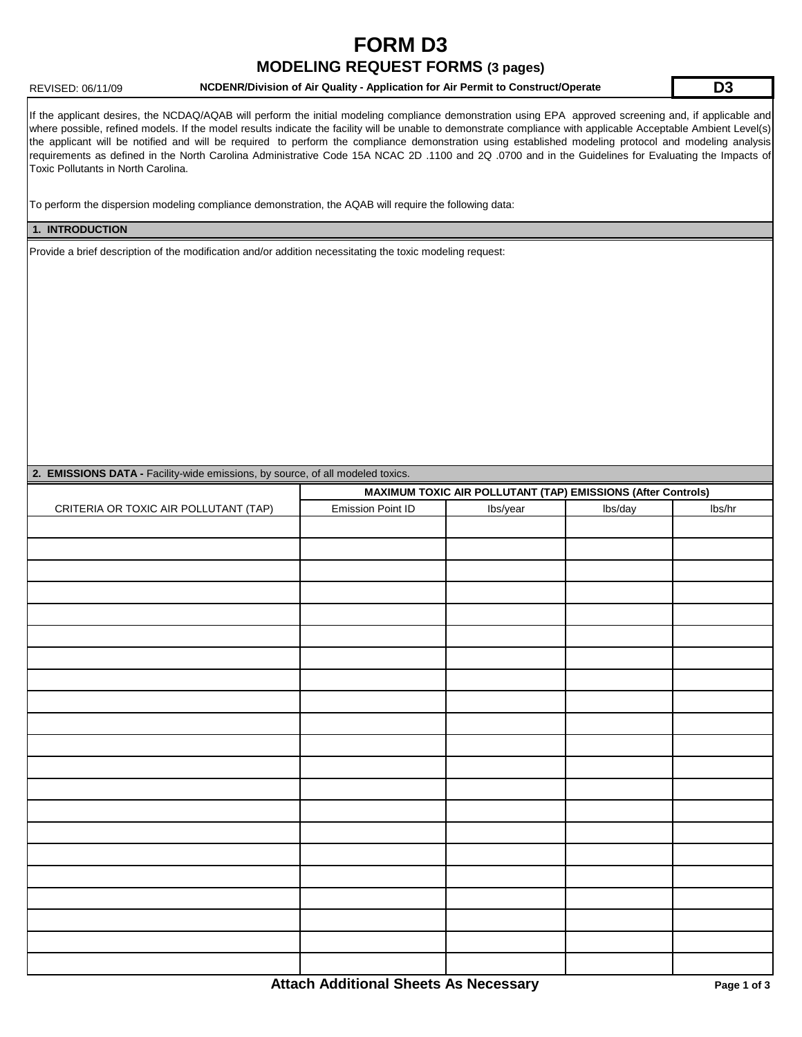## **FORM D3 MODELING REQUEST FORMS (3 pages)**

#### REVISED: 06/11/09 **NCDENR/Division of Air Quality - Application for Air Permit to Construct/Operate D3**

If the applicant desires, the NCDAQ/AQAB will perform the initial modeling compliance demonstration using EPA approved screening and, if applicable and where possible, refined models. If the model results indicate the facility will be unable to demonstrate compliance with applicable Acceptable Ambient Level(s) the applicant will be notified and will be required to perform the compliance demonstration using established modeling protocol and modeling analysis requirements as defined in the North Carolina Administrative Code 15A NCAC 2D .1100 and 2Q .0700 and in the Guidelines for Evaluating the Impacts of Toxic Pollutants in North Carolina.

To perform the dispersion modeling compliance demonstration, the AQAB will require the following data:

#### **1. INTRODUCTION**

Provide a brief description of the modification and/or addition necessitating the toxic modeling request:

| 2. EMISSIONS DATA - Facility-wide emissions, by source, of all modeled toxics. |                                                              |          |         |        |  |  |  |  |  |
|--------------------------------------------------------------------------------|--------------------------------------------------------------|----------|---------|--------|--|--|--|--|--|
|                                                                                | MAXIMUM TOXIC AIR POLLUTANT (TAP) EMISSIONS (After Controls) |          |         |        |  |  |  |  |  |
| CRITERIA OR TOXIC AIR POLLUTANT (TAP)                                          | Emission Point ID                                            | Ibs/year | lbs/day | lbs/hr |  |  |  |  |  |
|                                                                                |                                                              |          |         |        |  |  |  |  |  |
|                                                                                |                                                              |          |         |        |  |  |  |  |  |
|                                                                                |                                                              |          |         |        |  |  |  |  |  |
|                                                                                |                                                              |          |         |        |  |  |  |  |  |
|                                                                                |                                                              |          |         |        |  |  |  |  |  |
|                                                                                |                                                              |          |         |        |  |  |  |  |  |
|                                                                                |                                                              |          |         |        |  |  |  |  |  |
|                                                                                |                                                              |          |         |        |  |  |  |  |  |
|                                                                                |                                                              |          |         |        |  |  |  |  |  |
|                                                                                |                                                              |          |         |        |  |  |  |  |  |
|                                                                                |                                                              |          |         |        |  |  |  |  |  |
|                                                                                |                                                              |          |         |        |  |  |  |  |  |
|                                                                                |                                                              |          |         |        |  |  |  |  |  |
|                                                                                |                                                              |          |         |        |  |  |  |  |  |
|                                                                                |                                                              |          |         |        |  |  |  |  |  |
|                                                                                |                                                              |          |         |        |  |  |  |  |  |
|                                                                                |                                                              |          |         |        |  |  |  |  |  |
|                                                                                |                                                              |          |         |        |  |  |  |  |  |
|                                                                                |                                                              |          |         |        |  |  |  |  |  |
|                                                                                |                                                              |          |         |        |  |  |  |  |  |
|                                                                                |                                                              |          |         |        |  |  |  |  |  |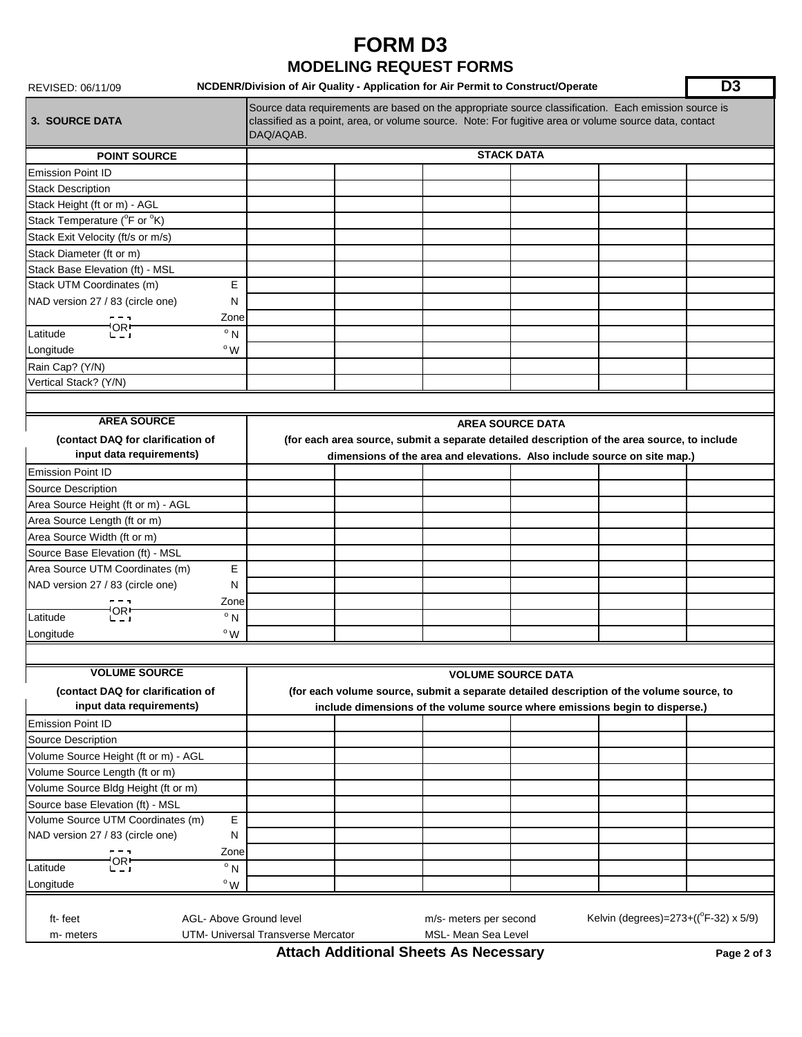## **FORM D3 MODELING REQUEST FORMS**

#### REVISED: 06/11/09 **D3 NCDENR/Division of Air Quality - Application for Air Permit to Construct/Operate**

| <b>3. SOURCE DATA</b>                                                                                                                                                                   | Source data requirements are based on the appropriate source classification. Each emission source is<br>classified as a point, area, or volume source. Note: For fugitive area or volume source data, contact<br>DAQ/AQAB. |  |  |  |  |  |  |
|-----------------------------------------------------------------------------------------------------------------------------------------------------------------------------------------|----------------------------------------------------------------------------------------------------------------------------------------------------------------------------------------------------------------------------|--|--|--|--|--|--|
| <b>POINT SOURCE</b>                                                                                                                                                                     | <b>STACK DATA</b>                                                                                                                                                                                                          |  |  |  |  |  |  |
| <b>Emission Point ID</b>                                                                                                                                                                |                                                                                                                                                                                                                            |  |  |  |  |  |  |
| <b>Stack Description</b>                                                                                                                                                                |                                                                                                                                                                                                                            |  |  |  |  |  |  |
| Stack Height (ft or m) - AGL                                                                                                                                                            |                                                                                                                                                                                                                            |  |  |  |  |  |  |
| Stack Temperature (°F or °K)                                                                                                                                                            |                                                                                                                                                                                                                            |  |  |  |  |  |  |
| Stack Exit Velocity (ft/s or m/s)                                                                                                                                                       |                                                                                                                                                                                                                            |  |  |  |  |  |  |
| Stack Diameter (ft or m)                                                                                                                                                                |                                                                                                                                                                                                                            |  |  |  |  |  |  |
| Stack Base Elevation (ft) - MSL                                                                                                                                                         |                                                                                                                                                                                                                            |  |  |  |  |  |  |
| Stack UTM Coordinates (m)<br>E                                                                                                                                                          |                                                                                                                                                                                                                            |  |  |  |  |  |  |
| NAD version 27 / 83 (circle one)<br>N                                                                                                                                                   |                                                                                                                                                                                                                            |  |  |  |  |  |  |
| Zone                                                                                                                                                                                    |                                                                                                                                                                                                                            |  |  |  |  |  |  |
| 'OR!<br>$^{\circ}$ N<br>Latitude                                                                                                                                                        |                                                                                                                                                                                                                            |  |  |  |  |  |  |
| $\degree$ W<br>Longitude                                                                                                                                                                |                                                                                                                                                                                                                            |  |  |  |  |  |  |
| Rain Cap? (Y/N)                                                                                                                                                                         |                                                                                                                                                                                                                            |  |  |  |  |  |  |
| Vertical Stack? (Y/N)                                                                                                                                                                   |                                                                                                                                                                                                                            |  |  |  |  |  |  |
|                                                                                                                                                                                         |                                                                                                                                                                                                                            |  |  |  |  |  |  |
| <b>AREA SOURCE</b>                                                                                                                                                                      | <b>AREA SOURCE DATA</b>                                                                                                                                                                                                    |  |  |  |  |  |  |
| (contact DAQ for clarification of<br>input data requirements)                                                                                                                           | (for each area source, submit a separate detailed description of the area source, to include<br>dimensions of the area and elevations. Also include source on site map.)                                                   |  |  |  |  |  |  |
| <b>Emission Point ID</b>                                                                                                                                                                |                                                                                                                                                                                                                            |  |  |  |  |  |  |
| Source Description                                                                                                                                                                      |                                                                                                                                                                                                                            |  |  |  |  |  |  |
| Area Source Height (ft or m) - AGL                                                                                                                                                      |                                                                                                                                                                                                                            |  |  |  |  |  |  |
| Area Source Length (ft or m)                                                                                                                                                            |                                                                                                                                                                                                                            |  |  |  |  |  |  |
| Area Source Width (ft or m)                                                                                                                                                             |                                                                                                                                                                                                                            |  |  |  |  |  |  |
| Source Base Elevation (ft) - MSL                                                                                                                                                        |                                                                                                                                                                                                                            |  |  |  |  |  |  |
| Е<br>Area Source UTM Coordinates (m)                                                                                                                                                    |                                                                                                                                                                                                                            |  |  |  |  |  |  |
| NAD version 27 / 83 (circle one)<br>N                                                                                                                                                   |                                                                                                                                                                                                                            |  |  |  |  |  |  |
| Zone                                                                                                                                                                                    |                                                                                                                                                                                                                            |  |  |  |  |  |  |
| 'OR!<br>$^{\circ}$ N<br>Latitude                                                                                                                                                        |                                                                                                                                                                                                                            |  |  |  |  |  |  |
| $^{\circ}$ W<br>Longitude                                                                                                                                                               |                                                                                                                                                                                                                            |  |  |  |  |  |  |
|                                                                                                                                                                                         |                                                                                                                                                                                                                            |  |  |  |  |  |  |
| <b>VOLUME SOURCE</b>                                                                                                                                                                    |                                                                                                                                                                                                                            |  |  |  |  |  |  |
| (contact DAQ for clarification of<br>input data requirements)                                                                                                                           | <b>VOLUME SOURCE DATA</b><br>(for each volume source, submit a separate detailed description of the volume source, to<br>include dimensions of the volume source where emissions begin to disperse.)                       |  |  |  |  |  |  |
| <b>Emission Point ID</b>                                                                                                                                                                |                                                                                                                                                                                                                            |  |  |  |  |  |  |
| Source Description                                                                                                                                                                      |                                                                                                                                                                                                                            |  |  |  |  |  |  |
| Volume Source Height (ft or m) - AGL                                                                                                                                                    |                                                                                                                                                                                                                            |  |  |  |  |  |  |
| Volume Source Length (ft or m)                                                                                                                                                          |                                                                                                                                                                                                                            |  |  |  |  |  |  |
| Volume Source Bldg Height (ft or m)                                                                                                                                                     |                                                                                                                                                                                                                            |  |  |  |  |  |  |
| Source base Elevation (ft) - MSL                                                                                                                                                        |                                                                                                                                                                                                                            |  |  |  |  |  |  |
| Volume Source UTM Coordinates (m)<br>Е                                                                                                                                                  |                                                                                                                                                                                                                            |  |  |  |  |  |  |
| NAD version 27 / 83 (circle one)<br>N                                                                                                                                                   |                                                                                                                                                                                                                            |  |  |  |  |  |  |
| Zone                                                                                                                                                                                    |                                                                                                                                                                                                                            |  |  |  |  |  |  |
| $C_{-1}$<br>$\overline{\circ}$ N<br>Latitude                                                                                                                                            |                                                                                                                                                                                                                            |  |  |  |  |  |  |
| $^{\rm o}$ W<br>Longitude                                                                                                                                                               |                                                                                                                                                                                                                            |  |  |  |  |  |  |
| Kelvin (degrees)= $273 + ((°F-32) \times 5/9)$<br>AGL- Above Ground level<br>ft-feet<br>m/s- meters per second<br>UTM- Universal Transverse Mercator<br>MSL- Mean Sea Level<br>m-meters |                                                                                                                                                                                                                            |  |  |  |  |  |  |